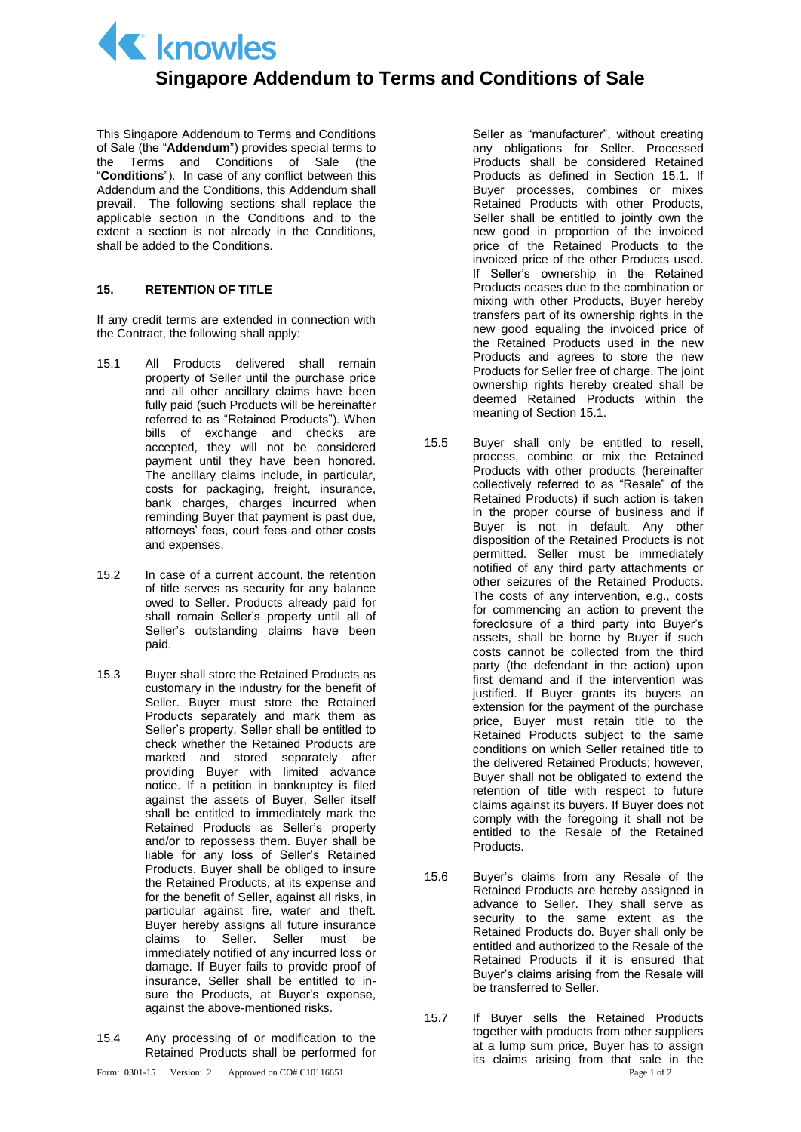K knowles

## **Singapore Addendum to Terms and Conditions of Sale**

This Singapore Addendum to Terms and Conditions of Sale (the "**Addendum**") provides special terms to the Terms and Conditions of Sale (the "**Conditions**"). In case of any conflict between this Addendum and the Conditions, this Addendum shall prevail. The following sections shall replace the applicable section in the Conditions and to the extent a section is not already in the Conditions, shall be added to the Conditions.

## **15. RETENTION OF TITLE**

If any credit terms are extended in connection with the Contract, the following shall apply:

- 15.1 All Products delivered shall remain property of Seller until the purchase price and all other ancillary claims have been fully paid (such Products will be hereinafter referred to as "Retained Products"). When bills of exchange and checks are accepted, they will not be considered payment until they have been honored. The ancillary claims include, in particular, costs for packaging, freight, insurance, bank charges, charges incurred when reminding Buyer that payment is past due, attorneys' fees, court fees and other costs and expenses.
- 15.2 In case of a current account, the retention of title serves as security for any balance owed to Seller. Products already paid for shall remain Seller's property until all of Seller's outstanding claims have been paid.
- 15.3 Buyer shall store the Retained Products as customary in the industry for the benefit of Seller. Buyer must store the Retained Products separately and mark them as Seller's property. Seller shall be entitled to check whether the Retained Products are marked and stored separately after providing Buyer with limited advance notice. If a petition in bankruptcy is filed against the assets of Buyer, Seller itself shall be entitled to immediately mark the Retained Products as Seller's property and/or to repossess them. Buyer shall be liable for any loss of Seller's Retained Products. Buyer shall be obliged to insure the Retained Products, at its expense and for the benefit of Seller, against all risks, in particular against fire, water and theft. Buyer hereby assigns all future insurance claims to Seller. Seller must be immediately notified of any incurred loss or damage. If Buyer fails to provide proof of insurance, Seller shall be entitled to insure the Products, at Buyer's expense, against the above-mentioned risks.
- 15.4 Any processing of or modification to the Retained Products shall be performed for

Seller as "manufacturer", without creating any obligations for Seller. Processed Products shall be considered Retained Products as defined in Section 15.1. If Buyer processes, combines or mixes Retained Products with other Products, Seller shall be entitled to jointly own the new good in proportion of the invoiced price of the Retained Products to the invoiced price of the other Products used. If Seller's ownership in the Retained Products ceases due to the combination or mixing with other Products, Buyer hereby transfers part of its ownership rights in the new good equaling the invoiced price of the Retained Products used in the new Products and agrees to store the new Products for Seller free of charge. The joint ownership rights hereby created shall be deemed Retained Products within the meaning of Section 15.1.

- 15.5 Buyer shall only be entitled to resell, process, combine or mix the Retained Products with other products (hereinafter collectively referred to as "Resale" of the Retained Products) if such action is taken in the proper course of business and if Buyer is not in default. Any other disposition of the Retained Products is not permitted. Seller must be immediately notified of any third party attachments or other seizures of the Retained Products. The costs of any intervention, e.g., costs for commencing an action to prevent the foreclosure of a third party into Buyer's assets, shall be borne by Buyer if such costs cannot be collected from the third party (the defendant in the action) upon first demand and if the intervention was justified. If Buyer grants its buyers an extension for the payment of the purchase price, Buyer must retain title to the Retained Products subject to the same conditions on which Seller retained title to the delivered Retained Products; however, Buyer shall not be obligated to extend the retention of title with respect to future claims against its buyers. If Buyer does not comply with the foregoing it shall not be entitled to the Resale of the Retained Products.
- 15.6 Buyer's claims from any Resale of the Retained Products are hereby assigned in advance to Seller. They shall serve as security to the same extent as the Retained Products do. Buyer shall only be entitled and authorized to the Resale of the Retained Products if it is ensured that Buyer's claims arising from the Resale will be transferred to Seller.
- Form: 0301-15 Version: 2 Approved on CO# C10116651 Page 1 of 2 15.7 If Buyer sells the Retained Products together with products from other suppliers at a lump sum price, Buyer has to assign its claims arising from that sale in the